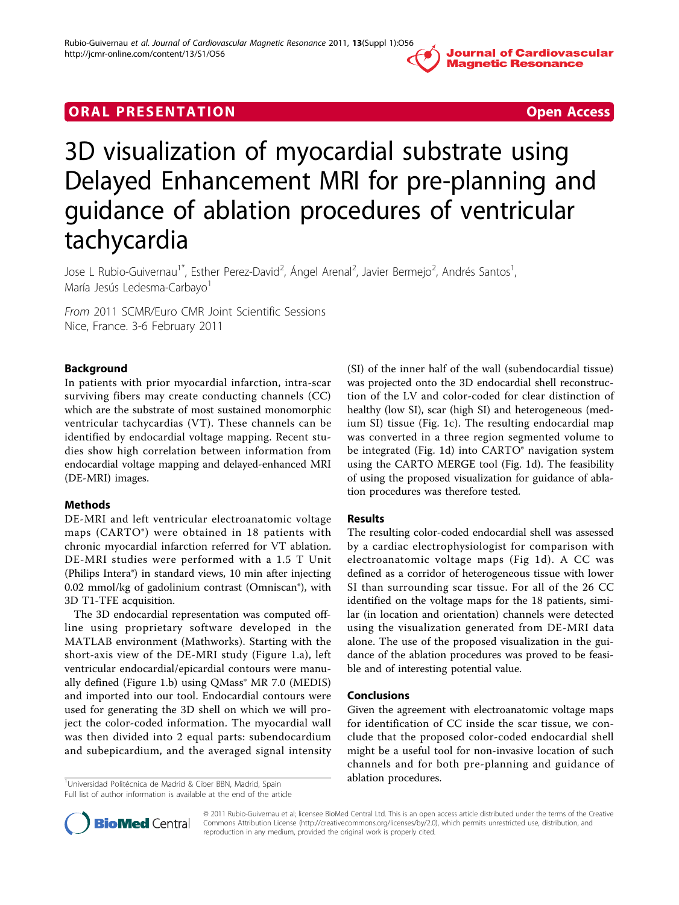# **ORAL PRESENTATION CONSUMING ACCESS**



# 3D visualization of myocardial substrate using Delayed Enhancement MRI for pre-planning and guidance of ablation procedures of ventricular tachycardia

Jose L Rubio-Guivernau<sup>1\*</sup>, Esther Perez-David<sup>2</sup>, Ángel Arenal<sup>2</sup>, Javier Bermejo<sup>2</sup>, Andrés Santos<sup>1</sup> , María Jesús Ledesma-Carbayo<sup>1</sup>

From 2011 SCMR/Euro CMR Joint Scientific Sessions Nice, France. 3-6 February 2011

## Background

In patients with prior myocardial infarction, intra-scar surviving fibers may create conducting channels (CC) which are the substrate of most sustained monomorphic ventricular tachycardias (VT). These channels can be identified by endocardial voltage mapping. Recent studies show high correlation between information from endocardial voltage mapping and delayed-enhanced MRI (DE-MRI) images.

## Methods

DE-MRI and left ventricular electroanatomic voltage maps (CARTO®) were obtained in 18 patients with chronic myocardial infarction referred for VT ablation. DE-MRI studies were performed with a 1.5 T Unit (Philips Intera®) in standard views, 10 min after injecting 0.02 mmol/kg of gadolinium contrast (Omniscan®), with 3D T1-TFE acquisition.

The 3D endocardial representation was computed offline using proprietary software developed in the MATLAB environment (Mathworks). Starting with the short-axis view of the DE-MRI study (Figure [1.a](#page-1-0)), left ventricular endocardial/epicardial contours were manu-ally defined (Figure [1.b\)](#page-1-0) using QMass<sup>®</sup> MR 7.0 (MEDIS) and imported into our tool. Endocardial contours were used for generating the 3D shell on which we will project the color-coded information. The myocardial wall was then divided into 2 equal parts: subendocardium and subepicardium, and the averaged signal intensity

<sup>1</sup>Universidad Politécnica de Madrid & Ciber BBN, Madrid, Spain **1988 — ablation procedures.** Full list of author information is available at the end of the article

(SI) of the inner half of the wall (subendocardial tissue) was projected onto the 3D endocardial shell reconstruction of the LV and color-coded for clear distinction of healthy (low SI), scar (high SI) and heterogeneous (medium SI) tissue (Fig. [1c\)](#page-1-0). The resulting endocardial map was converted in a three region segmented volume to be integrated (Fig. [1d\)](#page-1-0) into CARTO<sup>®</sup> navigation system using the CARTO MERGE tool (Fig. [1d](#page-1-0)). The feasibility of using the proposed visualization for guidance of ablation procedures was therefore tested.

## Results

The resulting color-coded endocardial shell was assessed by a cardiac electrophysiologist for comparison with electroanatomic voltage maps (Fig [1d](#page-1-0)). A CC was defined as a corridor of heterogeneous tissue with lower SI than surrounding scar tissue. For all of the 26 CC identified on the voltage maps for the 18 patients, similar (in location and orientation) channels were detected using the visualization generated from DE-MRI data alone. The use of the proposed visualization in the guidance of the ablation procedures was proved to be feasible and of interesting potential value.

## Conclusions

Given the agreement with electroanatomic voltage maps for identification of CC inside the scar tissue, we conclude that the proposed color-coded endocardial shell might be a useful tool for non-invasive location of such channels and for both pre-planning and guidance of



© 2011 Rubio-Guivernau et al; licensee BioMed Central Ltd. This is an open access article distributed under the terms of the Creative Commons Attribution License [\(http://creativecommons.org/licenses/by/2.0](http://creativecommons.org/licenses/by/2.0)), which permits unrestricted use, distribution, and reproduction in any medium, provided the original work is properly cited.